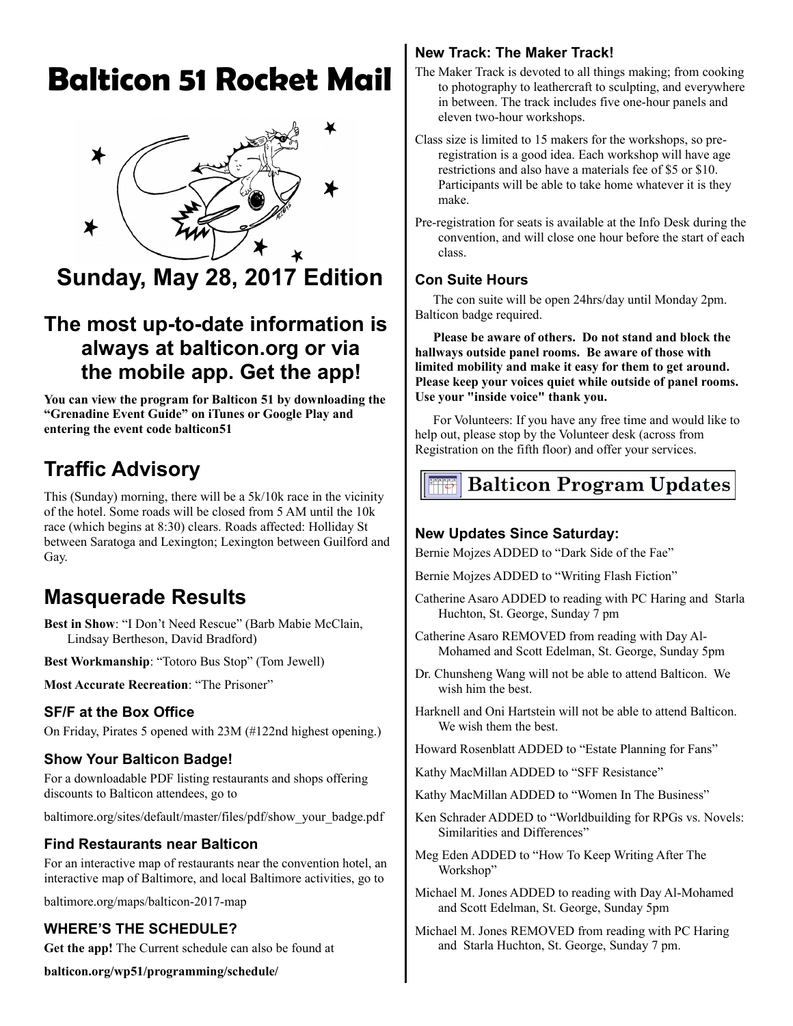# **Balticon 51 Rocket Mail**



**Sunday, May 28, 2017 Edition**

# **The most up-to-date information is always at balticon.org or via the mobile app. Get the app!**

**You can view the program for Balticon 51 by downloading the "Grenadine Event Guide" on iTunes or Google Play and entering the event code balticon51**

# **Traffic Advisory**

This (Sunday) morning, there will be a 5k/10k race in the vicinity of the hotel. Some roads will be closed from 5 AM until the 10k race (which begins at 8:30) clears. Roads affected: Holliday St between Saratoga and Lexington; Lexington between Guilford and Gay.

# **Masquerade Results**

**Best in Show**: "I Don't Need Rescue" (Barb Mabie McClain, Lindsay Bertheson, David Bradford)

**Best Workmanship**: "Totoro Bus Stop" (Tom Jewell)

**Most Accurate Recreation**: "The Prisoner"

## **SF/F at the Box Office**

On Friday, Pirates 5 opened with 23M (#122nd highest opening.)

## **Show Your Balticon Badge!**

For a downloadable PDF listing restaurants and shops offering discounts to Balticon attendees, go to

baltimore.org/sites/default/master/files/pdf/show\_your\_badge.pdf

## **Find Restaurants near Balticon**

For an interactive map of restaurants near the convention hotel, an interactive map of Baltimore, and local Baltimore activities, go to

baltimore.org/maps/balticon-2017-map

# **WHERE'S THE SCHEDULE?**

**Get the app!** The Current schedule can also be found at

**balticon.org/wp51/programming/schedule/**

# **New Track: The Maker Track!**

The Maker Track is devoted to all things making; from cooking to photography to leathercraft to sculpting, and everywhere in between. The track includes five one-hour panels and eleven two-hour workshops.

Class size is limited to 15 makers for the workshops, so preregistration is a good idea. Each workshop will have age restrictions and also have a materials fee of \$5 or \$10. Participants will be able to take home whatever it is they make.

Pre-registration for seats is available at the Info Desk during the convention, and will close one hour before the start of each class.

### **Con Suite Hours**

The con suite will be open 24hrs/day until Monday 2pm. Balticon badge required.

**Please be aware of others. Do not stand and block the hallways outside panel rooms. Be aware of those with limited mobility and make it easy for them to get around. Please keep your voices quiet while outside of panel rooms. Use your "inside voice" thank you.** 

For Volunteers: If you have any free time and would like to help out, please stop by the Volunteer desk (across from Registration on the fifth floor) and offer your services.

# **Balticon Program Updates**

## **New Updates Since Saturday:**

Bernie Mojzes ADDED to "Dark Side of the Fae"

Bernie Mojzes ADDED to "Writing Flash Fiction"

- Catherine Asaro ADDED to reading with PC Haring and Starla Huchton, St. George, Sunday 7 pm
- Catherine Asaro REMOVED from reading with Day Al-Mohamed and Scott Edelman, St. George, Sunday 5pm
- Dr. Chunsheng Wang will not be able to attend Balticon. We wish him the best.
- Harknell and Oni Hartstein will not be able to attend Balticon. We wish them the best.

Howard Rosenblatt ADDED to "Estate Planning for Fans"

- Kathy MacMillan ADDED to "SFF Resistance"
- Kathy MacMillan ADDED to "Women In The Business"
- Ken Schrader ADDED to "Worldbuilding for RPGs vs. Novels: Similarities and Differences"
- Meg Eden ADDED to "How To Keep Writing After The Workshop"
- Michael M. Jones ADDED to reading with Day Al-Mohamed and Scott Edelman, St. George, Sunday 5pm
- Michael M. Jones REMOVED from reading with PC Haring and Starla Huchton, St. George, Sunday 7 pm.